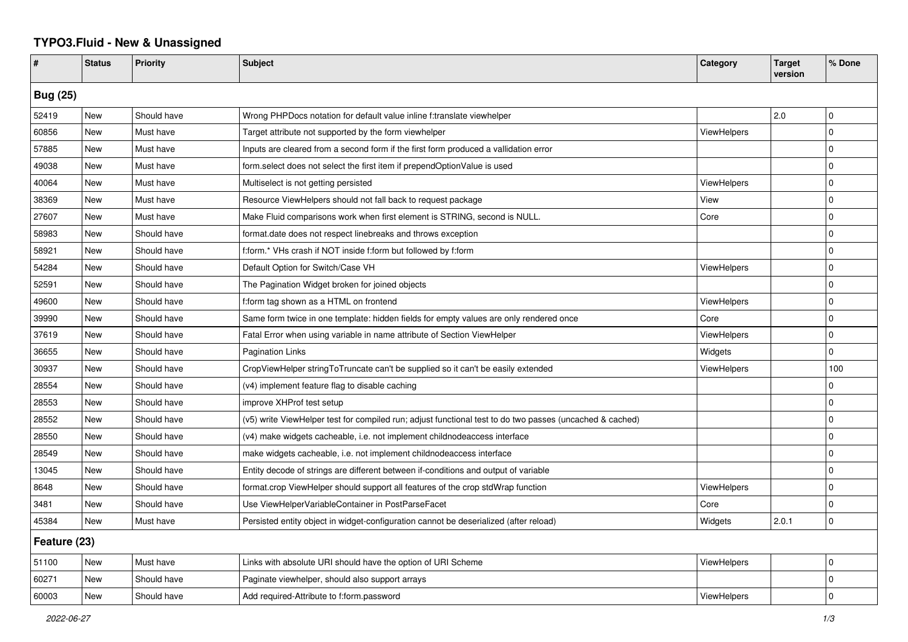## **TYPO3.Fluid - New & Unassigned**

| #               | <b>Status</b> | <b>Priority</b> | <b>Subject</b>                                                                                           | Category           | <b>Target</b><br>version | % Done         |  |  |
|-----------------|---------------|-----------------|----------------------------------------------------------------------------------------------------------|--------------------|--------------------------|----------------|--|--|
| <b>Bug (25)</b> |               |                 |                                                                                                          |                    |                          |                |  |  |
| 52419           | <b>New</b>    | Should have     | Wrong PHPDocs notation for default value inline f:translate viewhelper                                   |                    | 2.0                      | $\mathbf 0$    |  |  |
| 60856           | <b>New</b>    | Must have       | Target attribute not supported by the form viewhelper                                                    | ViewHelpers        |                          | $\Omega$       |  |  |
| 57885           | New           | Must have       | Inputs are cleared from a second form if the first form produced a vallidation error                     |                    |                          | $\Omega$       |  |  |
| 49038           | New           | Must have       | form.select does not select the first item if prependOptionValue is used                                 |                    |                          | $\Omega$       |  |  |
| 40064           | New           | Must have       | Multiselect is not getting persisted                                                                     | <b>ViewHelpers</b> |                          | 0              |  |  |
| 38369           | New           | Must have       | Resource ViewHelpers should not fall back to request package                                             | View               |                          | $\Omega$       |  |  |
| 27607           | New           | Must have       | Make Fluid comparisons work when first element is STRING, second is NULL.                                | Core               |                          | $\overline{0}$ |  |  |
| 58983           | New           | Should have     | format.date does not respect linebreaks and throws exception                                             |                    |                          | $\overline{0}$ |  |  |
| 58921           | New           | Should have     | f:form.* VHs crash if NOT inside f:form but followed by f:form                                           |                    |                          | $\Omega$       |  |  |
| 54284           | New           | Should have     | Default Option for Switch/Case VH                                                                        | ViewHelpers        |                          | $\mathbf 0$    |  |  |
| 52591           | New           | Should have     | The Pagination Widget broken for joined objects                                                          |                    |                          | $\mathbf 0$    |  |  |
| 49600           | New           | Should have     | f:form tag shown as a HTML on frontend                                                                   | ViewHelpers        |                          | 0              |  |  |
| 39990           | New           | Should have     | Same form twice in one template: hidden fields for empty values are only rendered once                   | Core               |                          | $\mathbf 0$    |  |  |
| 37619           | New           | Should have     | Fatal Error when using variable in name attribute of Section ViewHelper                                  | ViewHelpers        |                          | $\Omega$       |  |  |
| 36655           | <b>New</b>    | Should have     | <b>Pagination Links</b>                                                                                  | Widgets            |                          | 0              |  |  |
| 30937           | New           | Should have     | CropViewHelper stringToTruncate can't be supplied so it can't be easily extended                         | ViewHelpers        |                          | 100            |  |  |
| 28554           | <b>New</b>    | Should have     | (v4) implement feature flag to disable caching                                                           |                    |                          | 0              |  |  |
| 28553           | New           | Should have     | improve XHProf test setup                                                                                |                    |                          | $\Omega$       |  |  |
| 28552           | New           | Should have     | (v5) write ViewHelper test for compiled run; adjust functional test to do two passes (uncached & cached) |                    |                          | $\Omega$       |  |  |
| 28550           | New           | Should have     | (v4) make widgets cacheable, i.e. not implement childnodeaccess interface                                |                    |                          | $\overline{0}$ |  |  |
| 28549           | New           | Should have     | make widgets cacheable, i.e. not implement childnodeaccess interface                                     |                    |                          | $\mathbf 0$    |  |  |
| 13045           | New           | Should have     | Entity decode of strings are different between if-conditions and output of variable                      |                    |                          | 0              |  |  |
| 8648            | <b>New</b>    | Should have     | format.crop ViewHelper should support all features of the crop stdWrap function                          | ViewHelpers        |                          | $\Omega$       |  |  |
| 3481            | New           | Should have     | Use ViewHelperVariableContainer in PostParseFacet                                                        | Core               |                          | $\Omega$       |  |  |
| 45384           | New           | Must have       | Persisted entity object in widget-configuration cannot be deserialized (after reload)                    | Widgets            | 2.0.1                    | 0              |  |  |
| Feature (23)    |               |                 |                                                                                                          |                    |                          |                |  |  |
| 51100           | New           | Must have       | Links with absolute URI should have the option of URI Scheme                                             | <b>ViewHelpers</b> |                          | 0              |  |  |
| 60271           | New           | Should have     | Paginate viewhelper, should also support arrays                                                          |                    |                          | $\mathbf 0$    |  |  |
| 60003           | New           | Should have     | Add required-Attribute to f:form.password                                                                | ViewHelpers        |                          | $\Omega$       |  |  |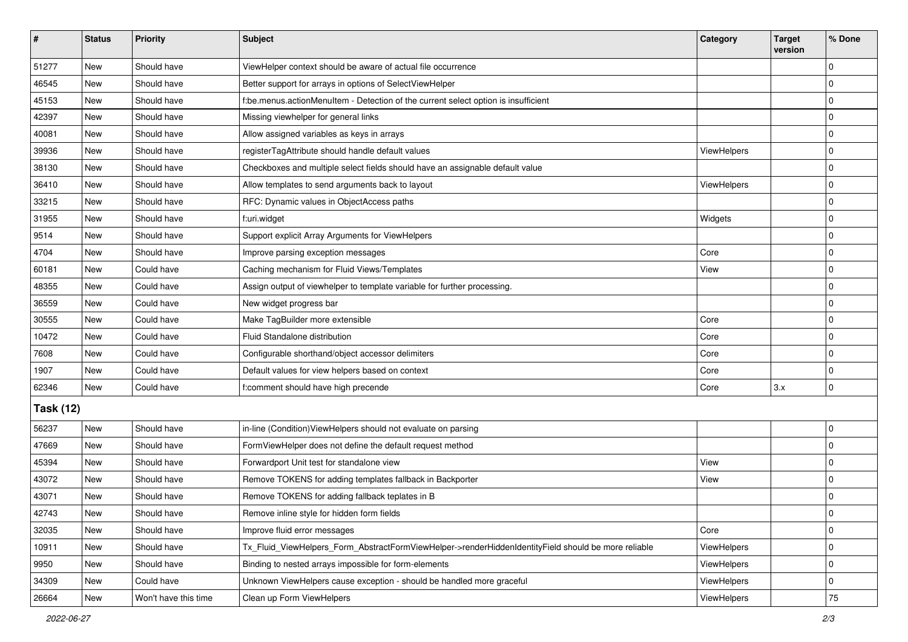| #                | <b>Status</b> | Priority             | <b>Subject</b>                                                                                      | Category    | <b>Target</b><br>version | % Done      |  |  |
|------------------|---------------|----------------------|-----------------------------------------------------------------------------------------------------|-------------|--------------------------|-------------|--|--|
| 51277            | New           | Should have          | ViewHelper context should be aware of actual file occurrence                                        |             |                          | $\mathbf 0$ |  |  |
| 46545            | New           | Should have          | Better support for arrays in options of SelectViewHelper                                            |             |                          | $\pmb{0}$   |  |  |
| 45153            | New           | Should have          | f:be.menus.actionMenuItem - Detection of the current select option is insufficient                  |             |                          | $\mathbf 0$ |  |  |
| 42397            | New           | Should have          | Missing viewhelper for general links                                                                |             |                          | 0           |  |  |
| 40081            | New           | Should have          | Allow assigned variables as keys in arrays                                                          |             |                          | 0           |  |  |
| 39936            | New           | Should have          | registerTagAttribute should handle default values                                                   | ViewHelpers |                          | $\mathbf 0$ |  |  |
| 38130            | New           | Should have          | Checkboxes and multiple select fields should have an assignable default value                       |             |                          | $\mathbf 0$ |  |  |
| 36410            | New           | Should have          | Allow templates to send arguments back to layout                                                    | ViewHelpers |                          | 0           |  |  |
| 33215            | New           | Should have          | RFC: Dynamic values in ObjectAccess paths                                                           |             |                          | $\mathbf 0$ |  |  |
| 31955            | New           | Should have          | f:uri.widget                                                                                        | Widgets     |                          | 0           |  |  |
| 9514             | New           | Should have          | Support explicit Array Arguments for ViewHelpers                                                    |             |                          | $\mathbf 0$ |  |  |
| 4704             | New           | Should have          | Improve parsing exception messages                                                                  | Core        |                          | $\mathbf 0$ |  |  |
| 60181            | New           | Could have           | Caching mechanism for Fluid Views/Templates                                                         | View        |                          | $\mathbf 0$ |  |  |
| 48355            | New           | Could have           | Assign output of viewhelper to template variable for further processing.                            |             |                          | $\mathbf 0$ |  |  |
| 36559            | New           | Could have           | New widget progress bar                                                                             |             |                          | 0           |  |  |
| 30555            | New           | Could have           | Make TagBuilder more extensible                                                                     | Core        |                          | $\mathbf 0$ |  |  |
| 10472            | New           | Could have           | Fluid Standalone distribution                                                                       | Core        |                          | $\mathbf 0$ |  |  |
| 7608             | New           | Could have           | Configurable shorthand/object accessor delimiters                                                   | Core        |                          | $\mathbf 0$ |  |  |
| 1907             | New           | Could have           | Default values for view helpers based on context                                                    | Core        |                          | $\mathbf 0$ |  |  |
| 62346            | <b>New</b>    | Could have           | f:comment should have high precende                                                                 | Core        | 3.x                      | $\mathbf 0$ |  |  |
| <b>Task (12)</b> |               |                      |                                                                                                     |             |                          |             |  |  |
| 56237            | New           | Should have          | in-line (Condition) View Helpers should not evaluate on parsing                                     |             |                          | $\mathbf 0$ |  |  |
| 47669            | New           | Should have          | FormViewHelper does not define the default request method                                           |             |                          | $\mathbf 0$ |  |  |
| 45394            | New           | Should have          | Forwardport Unit test for standalone view                                                           | View        |                          | $\mathbf 0$ |  |  |
| 43072            | New           | Should have          | Remove TOKENS for adding templates fallback in Backporter                                           | View        |                          | $\mathbf 0$ |  |  |
| 43071            | New           | Should have          | Remove TOKENS for adding fallback teplates in B                                                     |             |                          | $\mathbf 0$ |  |  |
| 42743            | New           | Should have          | Remove inline style for hidden form fields                                                          |             |                          | 0           |  |  |
| 32035            | New           | Should have          | Improve fluid error messages                                                                        | Core        |                          | $\mathbf 0$ |  |  |
| 10911            | New           | Should have          | Tx_Fluid_ViewHelpers_Form_AbstractFormViewHelper->renderHiddenIdentityField should be more reliable | ViewHelpers |                          | 0           |  |  |
| 9950             | New           | Should have          | Binding to nested arrays impossible for form-elements                                               | ViewHelpers |                          | 0           |  |  |
| 34309            | New           | Could have           | Unknown ViewHelpers cause exception - should be handled more graceful                               | ViewHelpers |                          | 0           |  |  |
| 26664            | New           | Won't have this time | Clean up Form ViewHelpers                                                                           | ViewHelpers |                          | $75\,$      |  |  |